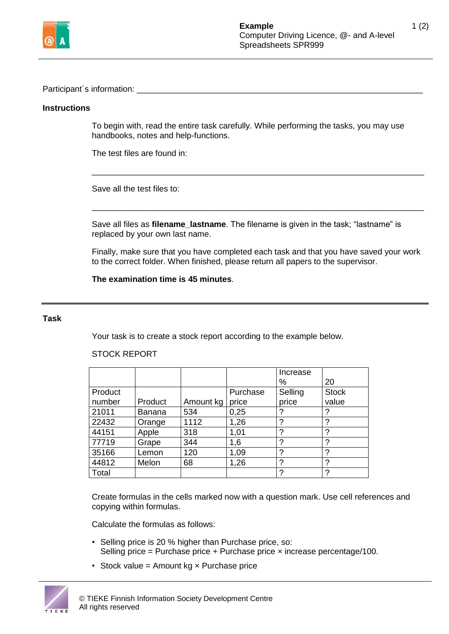

Participant's information:

# **Instructions**

To begin with, read the entire task carefully. While performing the tasks, you may use handbooks, notes and help-functions.

\_\_\_\_\_\_\_\_\_\_\_\_\_\_\_\_\_\_\_\_\_\_\_\_\_\_\_\_\_\_\_\_\_\_\_\_\_\_\_\_\_\_\_\_\_\_\_\_\_\_\_\_\_\_\_\_\_\_\_\_\_\_\_\_\_\_\_\_\_\_\_\_

\_\_\_\_\_\_\_\_\_\_\_\_\_\_\_\_\_\_\_\_\_\_\_\_\_\_\_\_\_\_\_\_\_\_\_\_\_\_\_\_\_\_\_\_\_\_\_\_\_\_\_\_\_\_\_\_\_\_\_\_\_\_\_\_\_\_\_\_\_\_\_\_

The test files are found in:

Save all the test files to:

Save all files as **filename\_lastname**. The filename is given in the task; "lastname" is replaced by your own last name.

Finally, make sure that you have completed each task and that you have saved your work to the correct folder. When finished, please return all papers to the supervisor.

**The examination time is 45 minutes**.

### **Task**

Your task is to create a stock report according to the example below.

#### Increase % 20 Product number | Product | Amount kg | price Purchase **Selling** price **Stock** value 21011 | Banana | 534 | 0,25 | ? 22432 Orange 1112 1,26 ? 44151 | Apple | 318 | 1,01 | ? | ? 17719 Grape 344 1,6 ?<br>35166 Lemon 120 1.09 ? 35166 |Lemon |120 |1,09 |? |? 44812 |Melon |68 |1,26 |? |? Total ? ?

# STOCK REPORT

Create formulas in the cells marked now with a question mark. Use cell references and copying within formulas.

Calculate the formulas as follows:

- Selling price is 20 % higher than Purchase price, so: Selling price = Purchase price + Purchase price × increase percentage/100.
- Stock value = Amount  $kg \times$  Purchase price